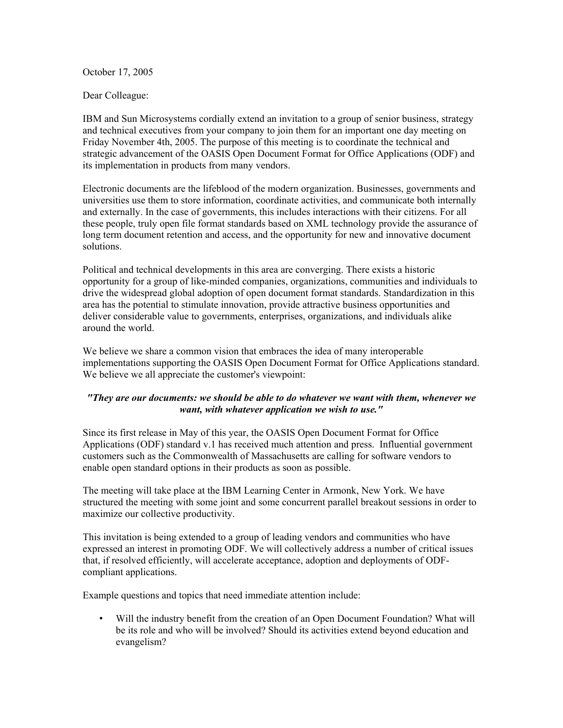October 17, 2005

Dear Colleague:

IBM and Sun Microsystems cordially extend an invitation to a group of senior business, strategy and technical executives from your company to join them for an important one day meeting on Friday November 4th, 2005. The purpose of this meeting is to coordinate the technical and strategic advancement of the OASIS Open Document Format for Office Applications (ODF) and its implementation in products from many vendors.

Electronic documents are the lifeblood of the modern organization. Businesses, governments and universities use them to store information, coordinate activities, and communicate both internally and externally. In the case of governments, this includes interactions with their citizens. For all these people, truly open file format standards based on XML technology provide the assurance of long term document retention and access, and the opportunity for new and innovative document solutions.

Political and technical developments in this area are converging. There exists a historic opportunity for a group of like-minded companies, organizations, communities and individuals to drive the widespread global adoption of open document format standards. Standardization in this area has the potential to stimulate innovation, provide attractive business opportunities and deliver considerable value to governments, enterprises, organizations, and individuals alike around the world.

We believe we share a common vision that embraces the idea of many interoperable implementations supporting the OASIS Open Document Format for Office Applications standard. We believe we all appreciate the customer's viewpoint:

## *"They are our documents: we should be able to do whatever we want with them, whenever we want, with whatever application we wish to use."*

Since its first release in May of this year, the OASIS Open Document Format for Office Applications (ODF) standard v.1 has received much attention and press. Influential government customers such as the Commonwealth of Massachusetts are calling for software vendors to enable open standard options in their products as soon as possible.

The meeting will take place at the IBM Learning Center in Armonk, New York. We have structured the meeting with some joint and some concurrent parallel breakout sessions in order to maximize our collective productivity.

This invitation is being extended to a group of leading vendors and communities who have expressed an interest in promoting ODF. We will collectively address a number of critical issues that, if resolved efficiently, will accelerate acceptance, adoption and deployments of ODFcompliant applications.

Example questions and topics that need immediate attention include:

• Will the industry benefit from the creation of an Open Document Foundation? What will be its role and who will be involved? Should its activities extend beyond education and evangelism?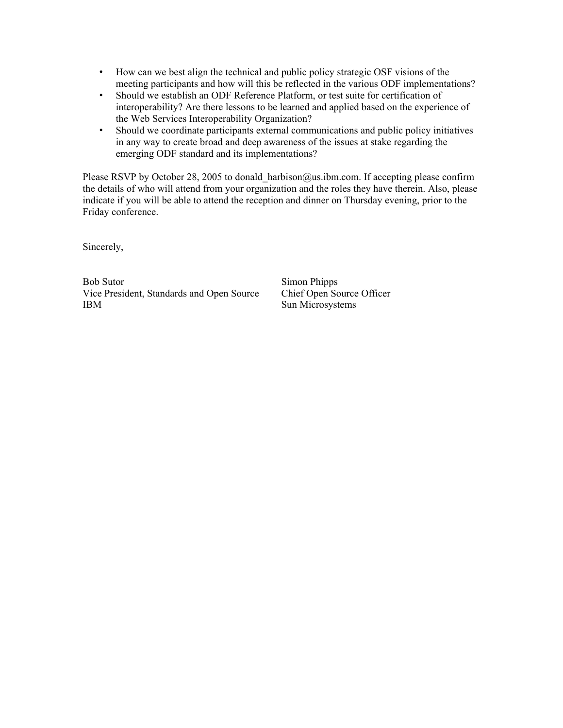- How can we best align the technical and public policy strategic OSF visions of the meeting participants and how will this be reflected in the various ODF implementations?
- Should we establish an ODF Reference Platform, or test suite for certification of interoperability? Are there lessons to be learned and applied based on the experience of the Web Services Interoperability Organization?
- Should we coordinate participants external communications and public policy initiatives in any way to create broad and deep awareness of the issues at stake regarding the emerging ODF standard and its implementations?

Please RSVP by October 28, 2005 to donald harbison@us.ibm.com. If accepting please confirm the details of who will attend from your organization and the roles they have therein. Also, please indicate if you will be able to attend the reception and dinner on Thursday evening, prior to the Friday conference.

Sincerely,

Bob Sutor Simon Phipps Vice President, Standards and Open Source Chief Open Source Officer IBM Sun Microsystems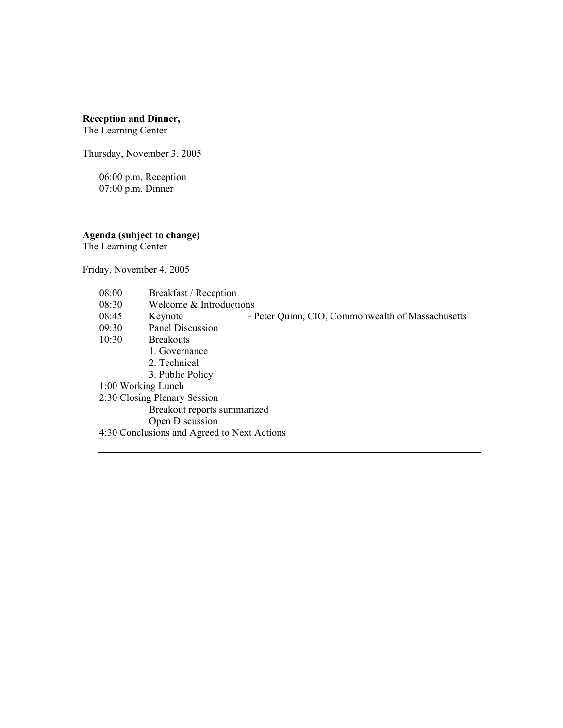## **Reception and Dinner,**

The Learning Center

Thursday, November 3, 2005

06:00 p.m. Reception 07:00 p.m. Dinner

**Agenda (subject to change)** 

The Learning Center

Friday, November 4, 2005

- 08:00 Breakfast / Reception
- 08:30 Welcome & Introductions
- 08:45 Keynote Peter Quinn, CIO, Commonwealth of Massachusetts
- 09:30 Panel Discussion<br>10:30 Breakouts
- **Breakouts** 
	- 1. Governance
		- 2. Technical
		- 3. Public Policy
- 1:00 Working Lunch
- 2:30 Closing Plenary Session
	- Breakout reports summarized
	- Open Discussion
- 4:30 Conclusions and Agreed to Next Actions